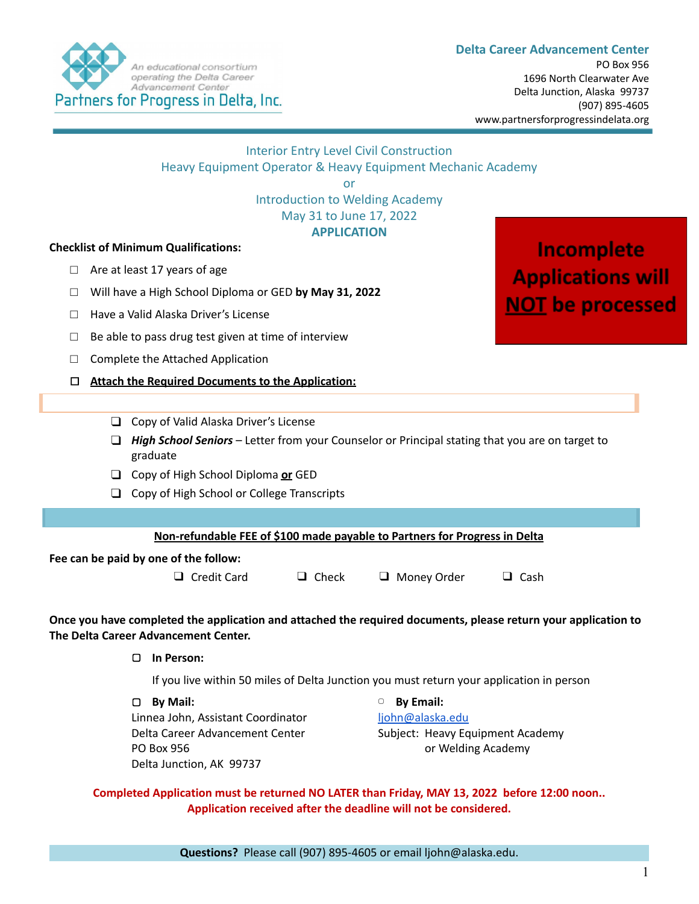

|                                                                                                                                                        |                                                                                                             | Heavy Equipment Operator & Heavy Equipment Mechanic Academy                                                                      | or<br>May 31 to June 17, 2022<br><b>APPLICATION</b> | <b>Interior Entry Level Civil Construction</b><br><b>Introduction to Welding Academy</b>                 |                          |  |
|--------------------------------------------------------------------------------------------------------------------------------------------------------|-------------------------------------------------------------------------------------------------------------|----------------------------------------------------------------------------------------------------------------------------------|-----------------------------------------------------|----------------------------------------------------------------------------------------------------------|--------------------------|--|
|                                                                                                                                                        |                                                                                                             | <b>Checklist of Minimum Qualifications:</b>                                                                                      |                                                     |                                                                                                          | Incomplete               |  |
| Are at least 17 years of age<br>$\Box$                                                                                                                 |                                                                                                             |                                                                                                                                  |                                                     |                                                                                                          | <b>Applications will</b> |  |
| $\Box$                                                                                                                                                 |                                                                                                             | Will have a High School Diploma or GED by May 31, 2022                                                                           |                                                     |                                                                                                          |                          |  |
| Ш                                                                                                                                                      |                                                                                                             | Have a Valid Alaska Driver's License                                                                                             |                                                     |                                                                                                          | <b>NOT</b> be processed  |  |
| ⊔                                                                                                                                                      | Be able to pass drug test given at time of interview                                                        |                                                                                                                                  |                                                     |                                                                                                          |                          |  |
| ⊔                                                                                                                                                      |                                                                                                             | Complete the Attached Application                                                                                                |                                                     |                                                                                                          |                          |  |
| □                                                                                                                                                      |                                                                                                             | <b>Attach the Required Documents to the Application:</b>                                                                         |                                                     |                                                                                                          |                          |  |
|                                                                                                                                                        |                                                                                                             |                                                                                                                                  |                                                     |                                                                                                          |                          |  |
|                                                                                                                                                        | Copy of Valid Alaska Driver's License<br>$\Box$                                                             |                                                                                                                                  |                                                     |                                                                                                          |                          |  |
|                                                                                                                                                        | High School Seniors - Letter from your Counselor or Principal stating that you are on target to<br>graduate |                                                                                                                                  |                                                     |                                                                                                          |                          |  |
|                                                                                                                                                        | $\Box$ Copy of High School Diploma or GED                                                                   |                                                                                                                                  |                                                     |                                                                                                          |                          |  |
|                                                                                                                                                        | Copy of High School or College Transcripts<br>□                                                             |                                                                                                                                  |                                                     |                                                                                                          |                          |  |
|                                                                                                                                                        |                                                                                                             |                                                                                                                                  |                                                     |                                                                                                          |                          |  |
|                                                                                                                                                        |                                                                                                             | Non-refundable FEE of \$100 made payable to Partners for Progress in Delta                                                       |                                                     |                                                                                                          |                          |  |
|                                                                                                                                                        |                                                                                                             | Fee can be paid by one of the follow:                                                                                            |                                                     |                                                                                                          |                          |  |
|                                                                                                                                                        |                                                                                                             | □ Credit Card                                                                                                                    | $\Box$ Check                                        | $\Box$ Money Order                                                                                       | $\Box$ Cash              |  |
| Once you have completed the application and attached the required documents, please return your application to<br>The Delta Career Advancement Center. |                                                                                                             |                                                                                                                                  |                                                     |                                                                                                          |                          |  |
|                                                                                                                                                        | In Person:<br>□                                                                                             |                                                                                                                                  |                                                     |                                                                                                          |                          |  |
|                                                                                                                                                        | If you live within 50 miles of Delta Junction you must return your application in person                    |                                                                                                                                  |                                                     |                                                                                                          |                          |  |
|                                                                                                                                                        |                                                                                                             | By Mail:<br>0<br>Linnea John, Assistant Coordinator<br>Delta Career Advancement Center<br>PO Box 956<br>Delta Junction, AK 99737 |                                                     | <b>By Email:</b><br>$\Box$<br>ljohn@alaska.edu<br>Subject: Heavy Equipment Academy<br>or Welding Academy |                          |  |

**Completed Application must be returned NO LATER than Friday, MAY 13, 2022 before 12:00 noon.. Application received after the deadline will not be considered.**

**Questions?** Please call (907) 895-4605 or email ljohn@alaska.edu.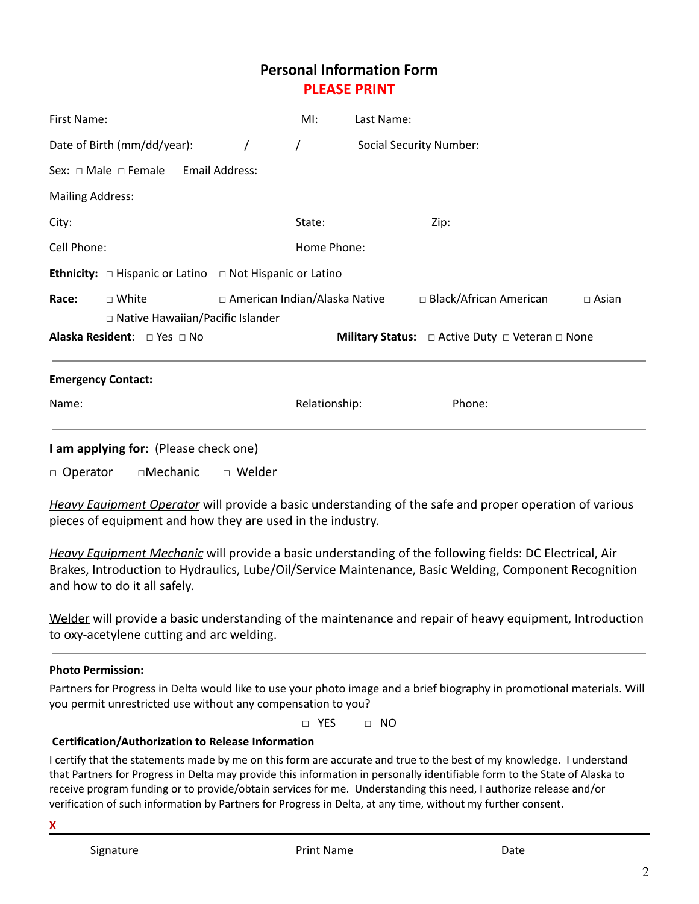# **Personal Information Form PLEASE PRINT**

| First Name:                                                               |                                                    |  | MI:                             | Last Name:  |                                |              |  |
|---------------------------------------------------------------------------|----------------------------------------------------|--|---------------------------------|-------------|--------------------------------|--------------|--|
| Date of Birth (mm/dd/year):                                               |                                                    |  | $\prime$                        |             | <b>Social Security Number:</b> |              |  |
| Sex: $\Box$ Male $\Box$ Female                                            | Email Address:                                     |  |                                 |             |                                |              |  |
| <b>Mailing Address:</b>                                                   |                                                    |  |                                 |             |                                |              |  |
| City:                                                                     |                                                    |  | State:                          |             | Zip:                           |              |  |
| Cell Phone:                                                               |                                                    |  |                                 | Home Phone: |                                |              |  |
| <b>Ethnicity:</b> $\Box$ Hispanic or Latino $\Box$ Not Hispanic or Latino |                                                    |  |                                 |             |                                |              |  |
| Race:                                                                     | □ White<br>$\Box$ Native Hawaiian/Pacific Islander |  | □ American Indian/Alaska Native |             | $\Box$ Black/African American  | $\Box$ Asian |  |
| <b>Alaska Resident:</b> $\Box$ Yes $\Box$ No                              |                                                    |  |                                 |             |                                |              |  |
| <b>Emergency Contact:</b>                                                 |                                                    |  |                                 |             |                                |              |  |
| Name:                                                                     |                                                    |  | Relationship:                   |             | Phone:                         |              |  |
|                                                                           |                                                    |  |                                 |             |                                |              |  |

**I am applying for:** (Please check one)

□ Operator □ Mechanic □ Welder

*Heavy Equipment Operator* will provide a basic understanding of the safe and proper operation of various pieces of equipment and how they are used in the industry.

*Heavy Equipment Mechanic* will provide a basic understanding of the following fields: DC Electrical, Air Brakes, Introduction to Hydraulics, Lube/Oil/Service Maintenance, Basic Welding, Component Recognition and how to do it all safely.

Welder will provide a basic understanding of the maintenance and repair of heavy equipment, Introduction to oxy-acetylene cutting and arc welding.

## **Photo Permission:**

Partners for Progress in Delta would like to use your photo image and a brief biography in promotional materials. Will you permit unrestricted use without any compensation to you?

□ YES □ NO

## **Certification/Authorization to Release Information**

I certify that the statements made by me on this form are accurate and true to the best of my knowledge. I understand that Partners for Progress in Delta may provide this information in personally identifiable form to the State of Alaska to receive program funding or to provide/obtain services for me. Understanding this need, I authorize release and/or verification of such information by Partners for Progress in Delta, at any time, without my further consent.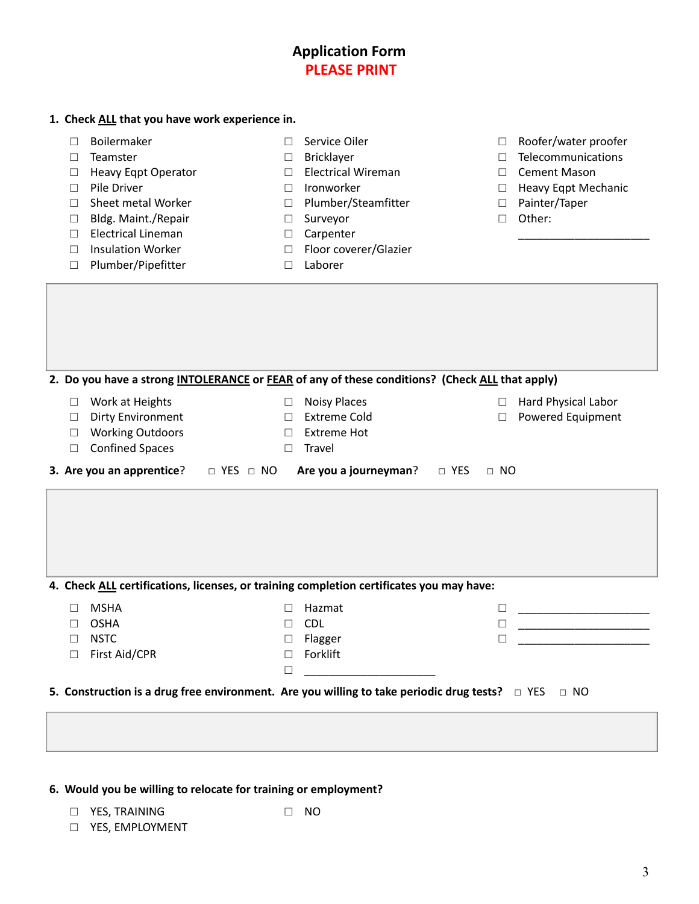| <b>Application Form</b> |
|-------------------------|
| <b>PLEASE PRINT</b>     |

| 1. Check ALL that you have work experience in. |  |  |
|------------------------------------------------|--|--|
|------------------------------------------------|--|--|

- □ Boilermaker
- □ Teamster
- □ Heavy Eqpt Operator
- □ Pile Driver
- □ Sheet metal Worker
- □ Bldg. Maint./Repair
- □ Electrical Lineman
- □ Insulation Worker
- □ Plumber/Pipefitter
- □ Service Oiler
- □ Bricklayer
- □ Electrical Wireman
- □ Ironworker
- □ Plumber/Steamfitter
- □ Surveyor
- □ Carpenter
- □ Floor coverer/Glazier
- □ Laborer
- □ Roofer/water proofer
- □ Telecommunications
- □ Cement Mason
- □ Heavy Eqpt Mechanic

\_\_\_\_\_\_\_\_\_\_\_\_\_\_\_\_\_\_\_\_\_

- □ Painter/Taper
- □ Other:

|                                                                                                               | 2. Do you have a strong INTOLERANCE or FEAR of any of these conditions? (Check ALL that apply) |                                      |                                                                            |                  |                                                                                                          |
|---------------------------------------------------------------------------------------------------------------|------------------------------------------------------------------------------------------------|--------------------------------------|----------------------------------------------------------------------------|------------------|----------------------------------------------------------------------------------------------------------|
| $\Box$<br>$\mathsf{L}$<br>П                                                                                   | Work at Heights<br>Dirty Environment<br><b>Working Outdoors</b><br><b>Confined Spaces</b>      | $\Box$<br>$\Box$<br>$\Box$<br>$\Box$ | <b>Noisy Places</b><br><b>Extreme Cold</b><br><b>Extreme Hot</b><br>Travel | $\Box$<br>$\Box$ | Hard Physical Labor<br>Powered Equipment                                                                 |
|                                                                                                               | <b>3. Are you an apprentice?</b> $\Box$ YES $\Box$ NO                                          |                                      | Are you a journeyman? $\Box$ YES                                           | $\Box$ NO        |                                                                                                          |
|                                                                                                               | 4. Check ALL certifications, licenses, or training completion certificates you may have:       |                                      |                                                                            |                  |                                                                                                          |
| П                                                                                                             | <b>MSHA</b>                                                                                    |                                      | Hazmat                                                                     |                  |                                                                                                          |
| $\mathsf{L}$                                                                                                  | <b>OSHA</b>                                                                                    | П                                    | <b>CDL</b>                                                                 | $\Box$           | <u> 1989 - Johann John Stein, mars an Francisco (b. 1989)</u><br><u> 1990 - Johann Barbara, martin a</u> |
| □                                                                                                             | <b>NSTC</b>                                                                                    | $\Box$                               | Flagger                                                                    | П                |                                                                                                          |
| П                                                                                                             | First Aid/CPR                                                                                  | $\Box$<br>$\Box$                     | Forklift                                                                   |                  |                                                                                                          |
| 5. Construction is a drug free environment. Are you willing to take periodic drug tests? $\Box$ YES $\Box$ NO |                                                                                                |                                      |                                                                            |                  |                                                                                                          |
|                                                                                                               |                                                                                                |                                      |                                                                            |                  |                                                                                                          |
|                                                                                                               |                                                                                                |                                      |                                                                            |                  |                                                                                                          |

#### **6. Would you be willing to relocate for training or employment?**

□ NO

- □ YES, TRAINING
- □ YES, EMPLOYMENT